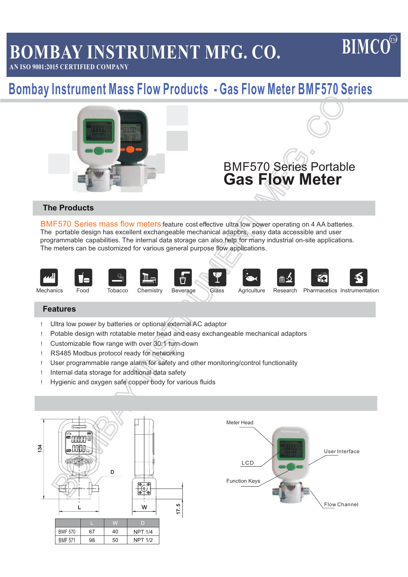# **BOMBAY INSTRUMENT MFG. CO.**

# **BIMCO**

**AN ISO 9001:2015 CERTIFIED COMPANY**

# **Bombay Instrument Mass Flow Products - Gas Flow Meter BMF570 Series**



# **The Products**

BMF570 Series mass flow meters feature cost effective ultra low power operating on 4 AA batteries. The portable design has excellent exchangeable mechanical adaptirs, easy data accessible and user programmable capabilities. The internal data storage can also help for many industrial on-site applications. The meters can be customized for various general purpose flow applications.



#### **Features**

- ! Ultra low power by batteries or optional external AC adaptor
- ! Potable design with rotatable meter head and easy exchangeable mechanical adaptors
- ! Customizable flow range with over 30:1 turn-down
- ! RS485 Modbus protocol ready for networking
- ! User programmable range alarm for safety and other monitoring/control functionality
- ! Internal data storage for additional data safety
- ! Hygienic and oxygen safe copper body for various fluids